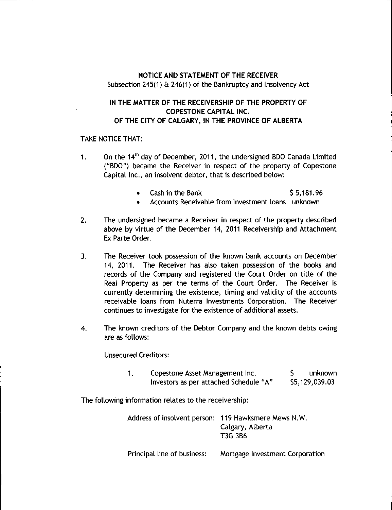## NOTICE AND STATEMENT OF THE RECEIVER Subsection  $245(1)$  &  $246(1)$  of the Bankruptcy and Insolvency Act

## IN THE MATTER OF THE RECEIVERSHIP OF THE PROPERTY OF COPESTONE CAPITAL INC. OF THE CITY OF CALGARY, IN THE PROVINCE OF ALBERTA

## TAKE NOTICE THAT:

- 1. On the 14<sup>th</sup> day of December, 2011, the undersigned BDO Canada Limited ("BDO") became the Receiver in respect of the property of Copestone Capital Inc., an insolvent debtor, that is described below:
	- Cash in the Bank 55,181.96
	- Accounts Receivable from Investment loans unknown
- 2. The undersigned became a Receiver in respect of the property described above by virtue of the December 14, 2011 Receivership and Attachment Ex Parte Order.
- 3. The Receiver took possession of the known bank accounts on December 14, 2011. The Receiver has also taken possession of the books and records of the Company and registered the Court Order on title of the Real Property as per the terms of the Court Order. The Receiver is currently determining the existence, timing and validity of the accounts receivable loans from Nuterra Investments Corporation. The Receiver continues to investigate for the existence of additional assets.
- 4. The known creditors of the Debtor Company and the known debts owing are as follows:

Unsecured Creditors:

| Copestone Asset Management Inc.        | unknown        |
|----------------------------------------|----------------|
| Investors as per attached Schedule "A" | \$5,129,039.03 |

The following information relates to the receivership:

Address of insolvent person: 119 Hawksmere Mews N.W. Calgary, Alberta T3G 3B6

Principal line of business: Mortgage Investment Corporation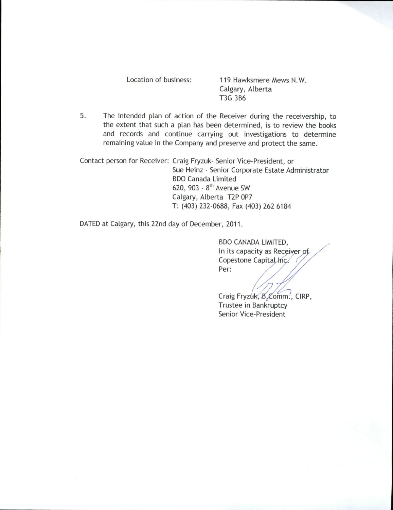Location of business: 119 Hawksmere Mews N.W. Calgary, Alberta T3G 3B6

5. The intended plan of action of the Receiver during the receivership, to the extent that such a plan has been determined, is to review the books and records and continue carrying out investigations to determine remaining value in the Company and preserve and protect the same.

Contact person for Receiver: Craig Fryzuk- Senior Vice-President, or Sue Heinz - Senior Corporate Estate Administrator BDO Canada Limited 620, 903 -  $8<sup>th</sup>$  Avenue SW Calgary, Alberta T2P 0P7 T: (403) 232-0688, Fax (403) 262 6184

DATED at Calgary, this 22nd day of December, 2011.

BDO CANADA LIMITED, In its capacity as Receiver of Copestone Capital Inc. Per:

Craig Fryz Trustee in Bankruptcy Senior Vice-President —) ornm., CIRP,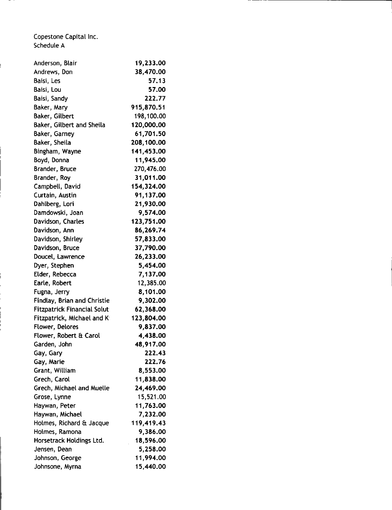Copestone Capital Inc. Schedule A

ļ

| Anderson, Blair                    | 19,233.00  |
|------------------------------------|------------|
| Andrews, Don                       | 38,470.00  |
| Baisi, Les                         | 57.13      |
| Baisi, Lou                         | 57.00      |
| Baisi, Sandy                       | 222.77     |
| Baker, Mary                        | 915,870.51 |
| Baker, Gilbert                     | 198,100.00 |
| Baker, Gilbert and Sheila          | 120,000.00 |
| Baker, Garney                      | 61,701.50  |
| Baker, Sheila                      | 208,100.00 |
| Bingham, Wayne                     | 141,453.00 |
| Boyd, Donna                        | 11,945.00  |
| <b>Brander, Bruce</b>              | 270,476.00 |
| Brander, Roy                       | 31,011.00  |
| Campbell, David                    | 154,324.00 |
| Curtain, Austin                    | 91,137.00  |
| Dahlberg, Lori                     | 21,930.00  |
| Damdowski, Joan                    | 9,574.00   |
| Davidson, Charles                  | 123,751.00 |
| Davidson, Ann                      | 86,269.74  |
| Davidson, Shirley                  | 57,833.00  |
| Davidson, Bruce                    | 37,790.00  |
| Doucel, Lawrence                   | 26,233.00  |
| Dyer, Stephen                      | 5,454.00   |
| Elder, Rebecca                     | 7,137.00   |
| Earle, Robert                      | 12,385.00  |
| Fugna, Jerry                       | 8,101.00   |
| <b>Findlay, Brian and Christie</b> | 9,302.00   |
| <b>Fitzpatrick Financial Solut</b> | 62,368.00  |
| Fitzpatrick, Michael and K         | 123,804.00 |
| <b>Flower, Delores</b>             | 9,837.00   |
| Flower, Robert & Carol             | 4,438.00   |
| Garden, John                       | 48,917.00  |
| Gay, Gary                          | 222.43     |
| Gay, Marie                         | 222.76     |
| Grant, William                     | 8,553.00   |
| Grech, Carol                       | 11,838.00  |
| Grech, Michael and Muelle          | 24,469.00  |
| Grose, Lynne                       | 15,521.00  |
| Haywan, Peter                      | 11,763.00  |
| Haywan, Michael                    | 7,232.00   |
| Holmes, Richard & Jacque           | 119,419.43 |
| Holmes, Ramona                     | 9,386.00   |
| Horsetrack Holdings Ltd.           | 18,596.00  |
| Jensen, Dean                       | 5,258.00   |
| Johnson, George                    | 11,994.00  |
| Johnsone, Myrna                    | 15,440.00  |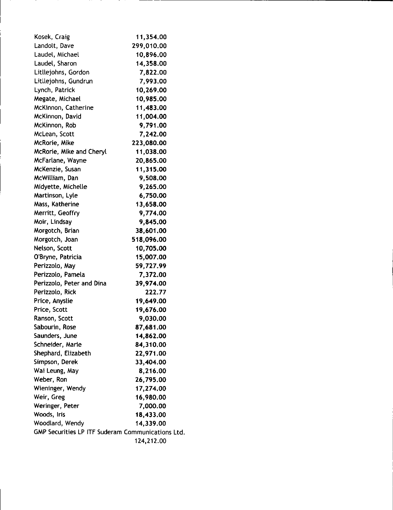| Kosek, Craig                                      | 11,354.00  |
|---------------------------------------------------|------------|
| Landolt, Dave                                     | 299,010.00 |
| Laudel, Michael                                   | 10,896.00  |
| Laudel, Sharon                                    | 14,358.00  |
| Litliejohns, Gordon                               | 7,822.00   |
| Litllejohns, Gundrun                              | 7,993.00   |
| Lynch, Patrick                                    | 10,269.00  |
| Megate, Michael                                   | 10,985.00  |
| McKinnon, Catherine                               | 11,483.00  |
| McKinnon, David                                   | 11,004.00  |
| McKinnon, Rob                                     | 9,791.00   |
| McLean, Scott                                     | 7,242.00   |
| McRorie, Mike                                     | 223,080.00 |
| McRorie, Mike and Cheryl                          | 11,038.00  |
| McFarlane, Wayne                                  | 20,865.00  |
| McKenzie, Susan                                   | 11,315.00  |
| McWilliam, Dan                                    | 9,508.00   |
| Midyette, Michelle                                | 9,265.00   |
| Martinson, Lyle                                   | 6,750.00   |
| Mass, Katherine                                   | 13,658.00  |
| Merritt, Geoffry                                  | 9,774.00   |
| Moir, Lindsay                                     | 9,845.00   |
| Morgotch, Brian                                   | 38,601.00  |
| Morgotch, Joan                                    | 518,096.00 |
| Nelson, Scott                                     | 10,705.00  |
| O'Bryne, Patricia                                 | 15,007.00  |
| Perizzolo, May                                    | 59,727.99  |
| Perizzolo, Pamela                                 | 7,372.00   |
| Perizzolo, Peter and Dina                         | 39,974.00  |
| Perizzolo, Rick                                   | 222.77     |
| Price, Anyslie                                    | 19,649.00  |
| Price, Scott                                      | 19,676.00  |
| Ranson, Scott                                     | 9,030.00   |
| Sabourin, Rose                                    | 87,681.00  |
| Saunders, June                                    | 14,862.00  |
| Schneider, Marie                                  | 84,310.00  |
| Shephard, Elizabeth                               | 22,971.00  |
| Simpson, Derek                                    | 33,404.00  |
| Wai Leung, May                                    | 8,216.00   |
| Weber, Ron                                        | 26,795.00  |
| Wieninger, Wendy                                  | 17,274.00  |
| Weir, Greg                                        | 16,980.00  |
| Weringer, Peter                                   | 7,000.00   |
| Woods, Iris                                       | 18,433.00  |
| Woodlard, Wendy                                   | 14,339.00  |
| GMP Securities LP ITF Suderam Communications Ltd. |            |
|                                                   | 124,212.00 |